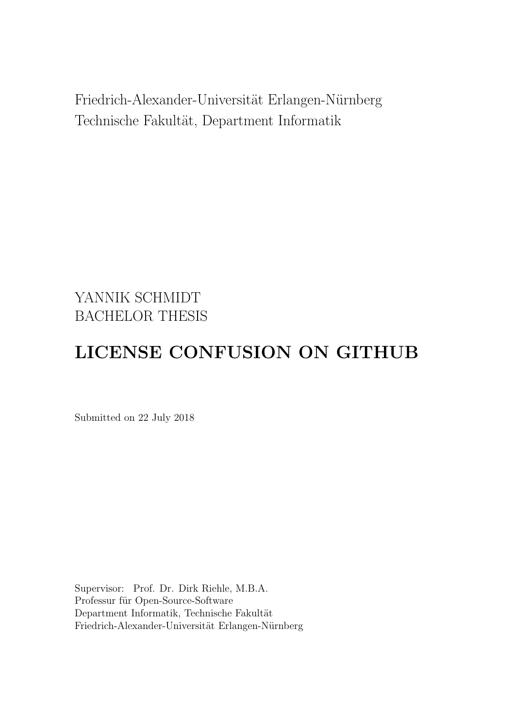Friedrich-Alexander-Universität Erlangen-Nürnberg Technische Fakultät, Department Informatik

# YANNIK SCHMIDT BACHELOR THESIS

# LICENSE CONFUSION ON GITHUB

Submitted on 22 July 2018

Supervisor: Prof. Dr. Dirk Riehle, M.B.A. Professur für Open-Source-Software Department Informatik, Technische Fakultät Friedrich-Alexander-Universität Erlangen-Nürnberg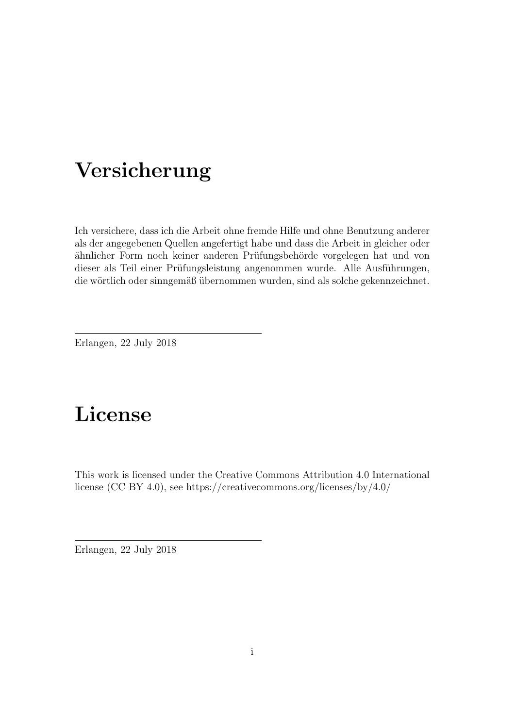# Versicherung

Ich versichere, dass ich die Arbeit ohne fremde Hilfe und ohne Benutzung anderer als der angegebenen Quellen angefertigt habe und dass die Arbeit in gleicher oder ähnlicher Form noch keiner anderen Prüfungsbehörde vorgelegen hat und von dieser als Teil einer Prüfungsleistung angenommen wurde. Alle Ausführungen, die wörtlich oder sinngemäß übernommen wurden, sind als solche gekennzeichnet.

Erlangen, 22 July 2018

# License

This work is licensed under the Creative Commons Attribution 4.0 International license (CC BY 4.0), see<https://creativecommons.org/licenses/by/4.0/>

Erlangen, 22 July 2018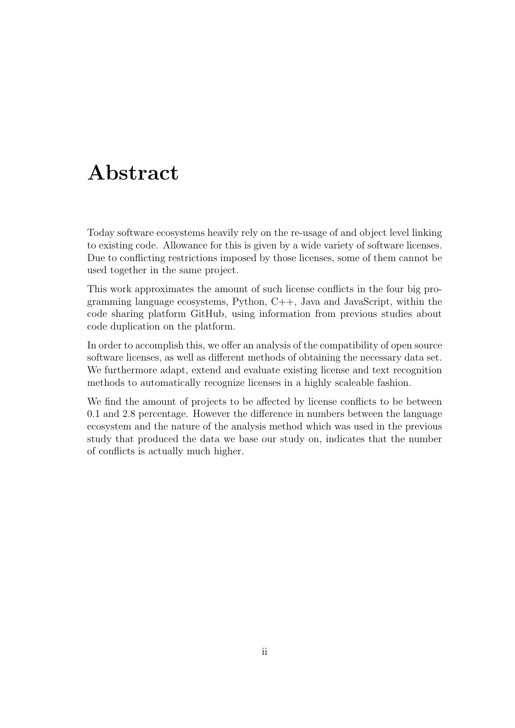# Abstract

Today software ecosystems heavily rely on the re-usage of and object level linking to existing code. Allowance for this is given by a wide variety of software licenses. Due to conflicting restrictions imposed by those licenses, some of them cannot be used together in the same project.

This work approximates the amount of such license conflicts in the four big programming language ecosystems, Python, C++, Java and JavaScript, within the code sharing platform GitHub, using information from previous studies about code duplication on the platform.

In order to accomplish this, we offer an analysis of the compatibility of open source software licenses, as well as different methods of obtaining the necessary data set. We furthermore adapt, extend and evaluate existing license and text recognition methods to automatically recognize licenses in a highly scaleable fashion.

We find the amount of projects to be affected by license conflicts to be between 0.1 and 2.8 percentage. However the difference in numbers between the language ecosystem and the nature of the analysis method which was used in the previous study that produced the data we base our study on, indicates that the number of conflicts is actually much higher.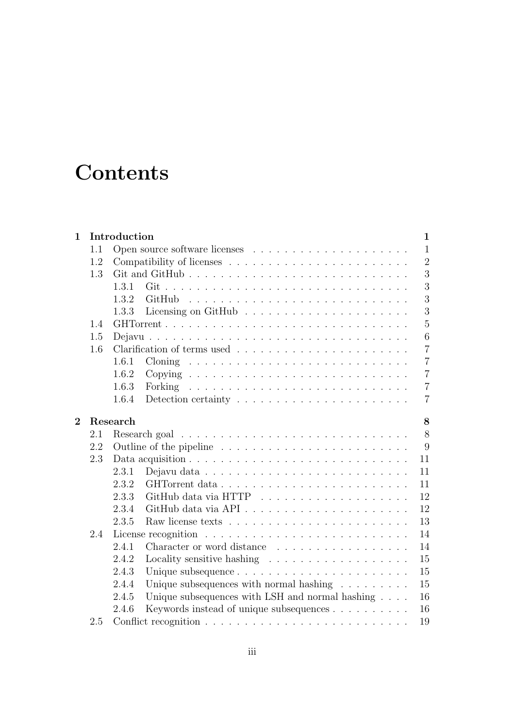# **Contents**

| $\mathbf 1$    |     | Introduction                                                                      | $\mathbf{1}$   |
|----------------|-----|-----------------------------------------------------------------------------------|----------------|
|                | 1.1 |                                                                                   | $\mathbf{1}$   |
|                | 1.2 |                                                                                   | $\overline{2}$ |
|                | 1.3 |                                                                                   | 3              |
|                |     | 1.3.1                                                                             | 3              |
|                |     | 1.3.2                                                                             | 3              |
|                |     | 1.3.3                                                                             | 3              |
|                | 1.4 |                                                                                   | $\overline{5}$ |
|                | 1.5 |                                                                                   | 6              |
|                | 1.6 |                                                                                   | $\overline{7}$ |
|                |     | 1.6.1                                                                             | $\overline{7}$ |
|                |     | 1.6.2                                                                             | $\overline{7}$ |
|                |     | 1.6.3                                                                             | $\overline{7}$ |
|                |     | 1.6.4<br>Detection certainty $\dots \dots \dots \dots \dots \dots \dots \dots$    | $\overline{7}$ |
| $\overline{2}$ |     | Research                                                                          | 8              |
|                | 2.1 |                                                                                   | 8              |
|                | 2.2 | Outline of the pipeline $\dots \dots \dots \dots \dots \dots \dots \dots \dots$   | 9              |
|                | 2.3 | Data acquisition $\ldots \ldots \ldots \ldots \ldots \ldots \ldots \ldots \ldots$ | 11             |
|                |     | 2.3.1                                                                             | 11             |
|                |     | 2.3.2                                                                             | 11             |
|                |     | 2.3.3                                                                             | 12             |
|                |     | 2.3.4                                                                             | 12             |
|                |     | 2.3.5                                                                             | 13             |
|                | 2.4 |                                                                                   | 14             |
|                |     | Character or word distance<br>2.4.1                                               | 14             |
|                |     | 2.4.2<br>Locality sensitive hashing $\dots \dots \dots \dots \dots \dots \dots$   | 15             |
|                |     | 2.4.3                                                                             | 15             |
|                |     | 2.4.4<br>Unique subsequences with normal hashing $\ldots \ldots \ldots$           | 15             |
|                |     | Unique subsequences with LSH and normal hashing $\ldots$ .<br>2.4.5               | 16             |
|                |     |                                                                                   |                |
|                |     | 2.4.6                                                                             | 16             |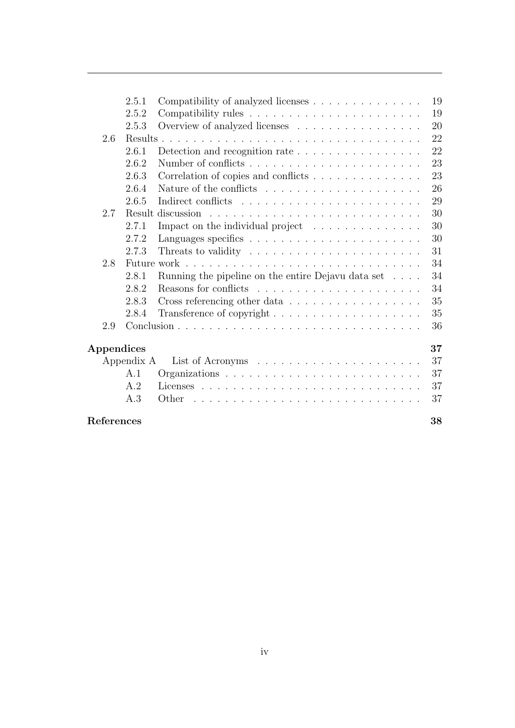|            | 2.5.1      | Compatibility of analyzed licenses                                    | 19 |
|------------|------------|-----------------------------------------------------------------------|----|
|            | 2.5.2      |                                                                       | 19 |
|            | 2.5.3      | Overview of analyzed licenses                                         | 20 |
| 2.6        |            |                                                                       | 22 |
|            | 2.6.1      | Detection and recognition rate $\ldots \ldots \ldots \ldots \ldots$   | 22 |
|            | 2.6.2      |                                                                       | 23 |
|            | 2.6.3      | Correlation of copies and conflicts                                   | 23 |
|            | 2.6.4      |                                                                       | 26 |
|            | 2.6.5      |                                                                       | 29 |
| 2.7        |            |                                                                       | 30 |
|            | 2.7.1      | Impact on the individual project                                      | 30 |
|            | 2.7.2      |                                                                       | 30 |
|            | 2.7.3      | Threats to validity $\dots \dots \dots \dots \dots \dots \dots \dots$ | 31 |
| 2.8        |            |                                                                       | 34 |
|            | 2.8.1      | Running the pipeline on the entire Dejavu data set                    | 34 |
|            | 2.8.2      |                                                                       | 34 |
|            | 2.8.3      | Cross referencing other data                                          | 35 |
|            | 2.8.4      |                                                                       | 35 |
| 2.9        |            |                                                                       | 36 |
| Appendices |            |                                                                       | 37 |
|            | Appendix A |                                                                       | 37 |
|            | A.1        |                                                                       | 37 |
|            | A.2        |                                                                       | 37 |
|            | A.3        | Other                                                                 | 37 |
| References |            |                                                                       | 38 |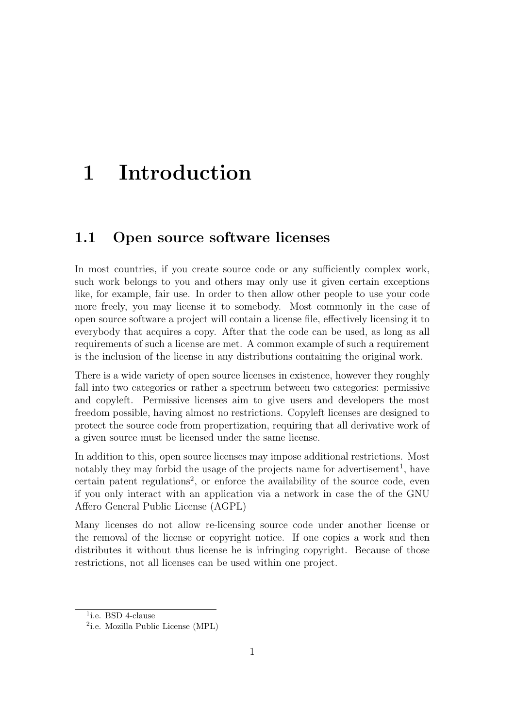# <span id="page-5-0"></span>1 Introduction

### <span id="page-5-1"></span>1.1 Open source software licenses

In most countries, if you create source code or any sufficiently complex work, such work belongs to you and others may only use it given certain exceptions like, for example, fair use. In order to then allow other people to use your code more freely, you may license it to somebody. Most commonly in the case of open source software a project will contain a license file, effectively licensing it to everybody that acquires a copy. After that the code can be used, as long as all requirements of such a license are met. A common example of such a requirement is the inclusion of the license in any distributions containing the original work.

There is a wide variety of open source licenses in existence, however they roughly fall into two categories or rather a spectrum between two categories: permissive and copyleft. Permissive licenses aim to give users and developers the most freedom possible, having almost no restrictions. Copyleft licenses are designed to protect the source code from propertization, requiring that all derivative work of a given source must be licensed under the same license.

In addition to this, open source licenses may impose additional restrictions. Most notably they may forbid the usage of the projects name for advertisement<sup>[1](#page-5-3)</sup>, have certain patent regulations<sup>[2](#page-5-4)</sup>, or enforce the availability of the source code, even if you only interact with an application via a network in case the of the GNU Affero General Public License (AGPL)

Many licenses do not allow re-licensing source code under another license or the removal of the license or copyright notice. If one copies a work and then distributes it without thus license he is infringing copyright. Because of those restrictions, not all licenses can be used within one project.

<span id="page-5-3"></span><span id="page-5-2"></span><sup>&</sup>lt;sup>1</sup>i.e. BSD 4-clause

<span id="page-5-4"></span><sup>2</sup> i.e. Mozilla Public License (MPL)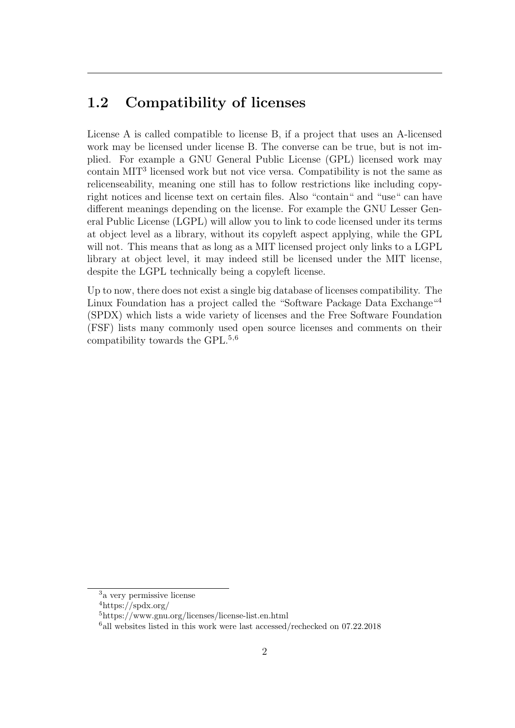## 1.2 Compatibility of licenses

License A is called compatible to license B, if a project that uses an A-licensed work may be licensed under license B. The converse can be true, but is not implied. For example a GNU General Public License (GPL) licensed work may contain MIT[3](#page-6-1) licensed work but not vice versa. Compatibility is not the same as relicenseability, meaning one still has to follow restrictions like including copyright notices and license text on certain files. Also "contain" and "use" can have different meanings depending on the license. For example the GNU Lesser General Public License (LGPL) will allow you to link to code licensed under its terms at object level as a library, without its copyleft aspect applying, while the GPL will not. This means that as long as a MIT licensed project only links to a LGPL library at object level, it may indeed still be licensed under the MIT license, despite the LGPL technically being a copyleft license.

<span id="page-6-0"></span>Up to now, there does not exist a single big database of licenses compatibility. The Linux Foundation has a project called the "Software Package Data Exchange"<sup>[4](#page-6-2)</sup> (SPDX) which lists a wide variety of licenses and the Free Software Foundation (FSF) lists many commonly used open source licenses and comments on their compatibility towards the GPL.[5](#page-6-3),[6](#page-6-4)

<span id="page-6-1"></span><sup>3</sup>a very permissive license

<span id="page-6-2"></span> $4$ https://spdx.org/

<span id="page-6-3"></span><sup>5</sup>https://www.gnu.org/licenses/license-list.en.html

<span id="page-6-4"></span> $^{6}$ all websites listed in this work were last accessed/rechecked on 07.22.2018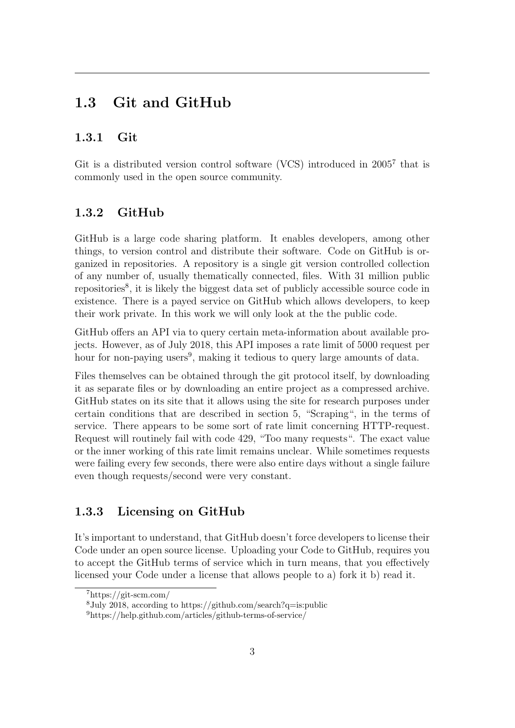### 1.3 Git and GitHub

### <span id="page-7-0"></span>1.3.1 Git

<span id="page-7-1"></span>Git is a distributed version control software (VCS) introduced in  $2005<sup>7</sup>$  $2005<sup>7</sup>$  $2005<sup>7</sup>$  that is commonly used in the open source community.

### 1.3.2 GitHub

GitHub is a large code sharing platform. It enables developers, among other things, to version control and distribute their software. Code on GitHub is organized in repositories. A repository is a single git version controlled collection of any number of, usually thematically connected, files. With 31 million public repositories<sup>[8](#page-7-4)</sup>, it is likely the biggest data set of publicly accessible source code in existence. There is a payed service on GitHub which allows developers, to keep their work private. In this work we will only look at the the public code.

GitHub offers an API via to query certain meta-information about available projects. However, as of July 2018, this API imposes a rate limit of 5000 request per hour for non-paying users<sup>[9](#page-7-5)</sup>, making it tedious to query large amounts of data.

Files themselves can be obtained through the git protocol itself, by downloading it as separate files or by downloading an entire project as a compressed archive. GitHub states on its site that it allows using the site for research purposes under certain conditions that are described in section 5, "Scraping", in the terms of service. There appears to be some sort of rate limit concerning HTTP-request. Request will routinely fail with code 429, "Too many requests". The exact value or the inner working of this rate limit remains unclear. While sometimes requests were failing every few seconds, there were also entire days without a single failure even though requests/second were very constant.

### <span id="page-7-2"></span>1.3.3 Licensing on GitHub

It's important to understand, that GitHub doesn't force developers to license their Code under an open source license. Uploading your Code to GitHub, requires you to accept the GitHub terms of service which in turn means, that you effectively licensed your Code under a license that allows people to a) fork it b) read it.

<span id="page-7-3"></span><sup>7</sup>https://git-scm.com/

<span id="page-7-4"></span><sup>&</sup>lt;sup>8</sup>July 2018, according to https://github.com/search?q=is:public

<span id="page-7-5"></span><sup>9</sup>https://help.github.com/articles/github-terms-of-service/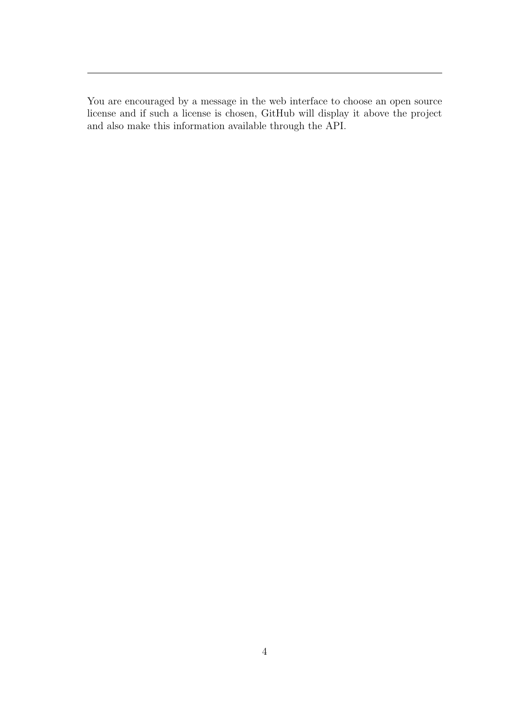<span id="page-8-0"></span>You are encouraged by a message in the web interface to choose an open source license and if such a license is chosen, GitHub will display it above the project and also make this information available through the API.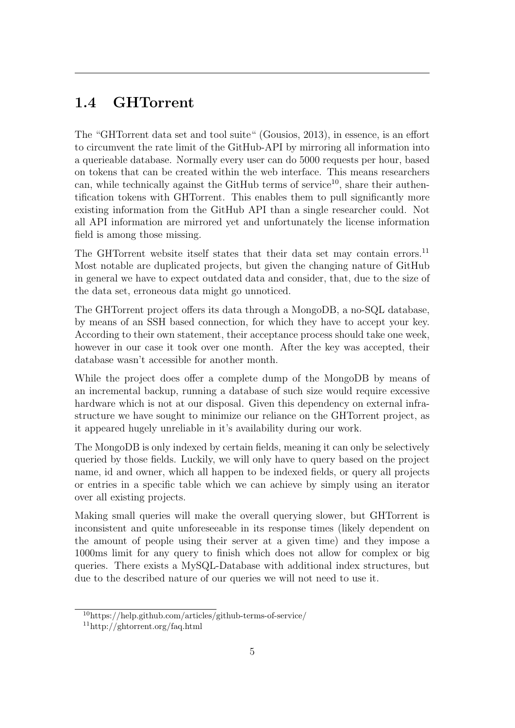## 1.4 GHTorrent

The "GHTorrent data set and tool suite" (Gousios, [2013\)](#page-42-1), in essence, is an effort to circumvent the rate limit of the GitHub-API by mirroring all information into a querieable database. Normally every user can do 5000 requests per hour, based on tokens that can be created within the web interface. This means researchers can, while technically against the GitHub terms of service<sup>[10](#page-9-1)</sup>, share their authentification tokens with GHTorrent. This enables them to pull significantly more existing information from the GitHub API than a single researcher could. Not all API information are mirrored yet and unfortunately the license information field is among those missing.

The GHTorrent website itself states that their data set may contain errors.<sup>[11](#page-9-2)</sup> Most notable are duplicated projects, but given the changing nature of GitHub in general we have to expect outdated data and consider, that, due to the size of the data set, erroneous data might go unnoticed.

The GHTorrent project offers its data through a MongoDB, a no-SQL database, by means of an SSH based connection, for which they have to accept your key. According to their own statement, their acceptance process should take one week, however in our case it took over one month. After the key was accepted, their database wasn't accessible for another month.

While the project does offer a complete dump of the MongoDB by means of an incremental backup, running a database of such size would require excessive hardware which is not at our disposal. Given this dependency on external infrastructure we have sought to minimize our reliance on the GHTorrent project, as it appeared hugely unreliable in it's availability during our work.

The MongoDB is only indexed by certain fields, meaning it can only be selectively queried by those fields. Luckily, we will only have to query based on the project name, id and owner, which all happen to be indexed fields, or query all projects or entries in a specific table which we can achieve by simply using an iterator over all existing projects.

Making small queries will make the overall querying slower, but GHTorrent is inconsistent and quite unforeseeable in its response times (likely dependent on the amount of people using their server at a given time) and they impose a 1000ms limit for any query to finish which does not allow for complex or big queries. There exists a MySQL-Database with additional index structures, but due to the described nature of our queries we will not need to use it.

<span id="page-9-1"></span><span id="page-9-0"></span><sup>10</sup>https://help.github.com/articles/github-terms-of-service/

<span id="page-9-2"></span> $11$ http://ghtorrent.org/faq.html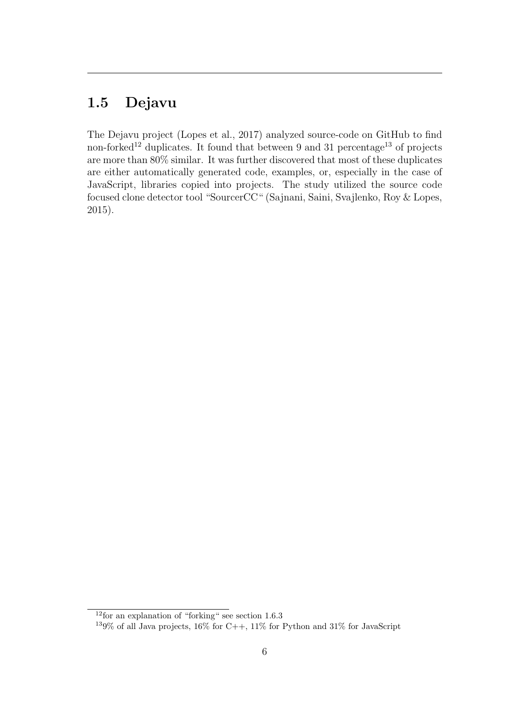# 1.5 Dejavu

<span id="page-10-0"></span>The Dejavu project (Lopes et al., [2017\)](#page-42-2) analyzed source-code on GitHub to find non-forked<sup>[12](#page-10-1)</sup> duplicates. It found that between 9 and 31 percentage<sup>[13](#page-10-2)</sup> of projects are more than 80% similar. It was further discovered that most of these duplicates are either automatically generated code, examples, or, especially in the case of JavaScript, libraries copied into projects. The study utilized the source code focused clone detector tool "SourcerCC" (Sajnani, Saini, Svajlenko, Roy & Lopes, [2015\)](#page-42-3).

<span id="page-10-1"></span><sup>&</sup>lt;sup>12</sup> for an explanation of "forking" see section [1.6.3](#page-11-2)

<span id="page-10-2"></span> $139\%$  of all Java projects,  $16\%$  for C++,  $11\%$  for Python and  $31\%$  for JavaScript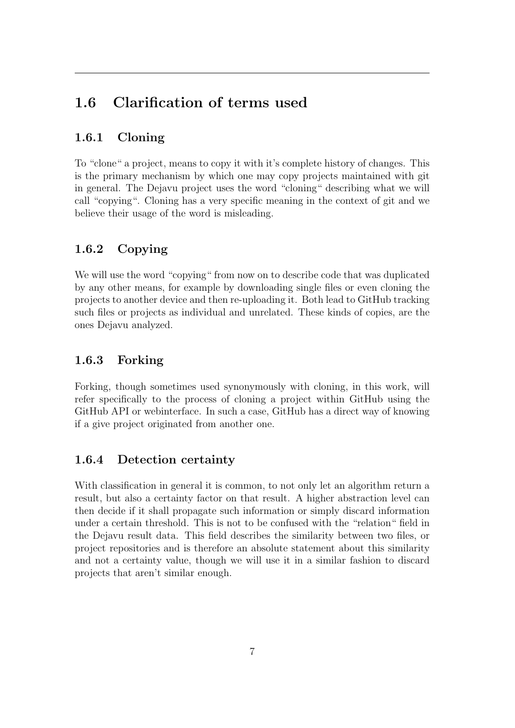# 1.6 Clarification of terms used

### <span id="page-11-0"></span>1.6.1 Cloning

To "clone" a project, means to copy it with it's complete history of changes. This is the primary mechanism by which one may copy projects maintained with git in general. The Dejavu project uses the word "cloning" describing what we will call "copying". Cloning has a very specific meaning in the context of git and we believe their usage of the word is misleading.

### <span id="page-11-1"></span>1.6.2 Copying

We will use the word "copying" from now on to describe code that was duplicated by any other means, for example by downloading single files or even cloning the projects to another device and then re-uploading it. Both lead to GitHub tracking such files or projects as individual and unrelated. These kinds of copies, are the ones Dejavu analyzed.

### <span id="page-11-2"></span>1.6.3 Forking

Forking, though sometimes used synonymously with cloning, in this work, will refer specifically to the process of cloning a project within GitHub using the GitHub API or webinterface. In such a case, GitHub has a direct way of knowing if a give project originated from another one.

### <span id="page-11-3"></span>1.6.4 Detection certainty

With classification in general it is common, to not only let an algorithm return a result, but also a certainty factor on that result. A higher abstraction level can then decide if it shall propagate such information or simply discard information under a certain threshold. This is not to be confused with the "relation" field in the Dejavu result data. This field describes the similarity between two files, or project repositories and is therefore an absolute statement about this similarity and not a certainty value, though we will use it in a similar fashion to discard projects that aren't similar enough.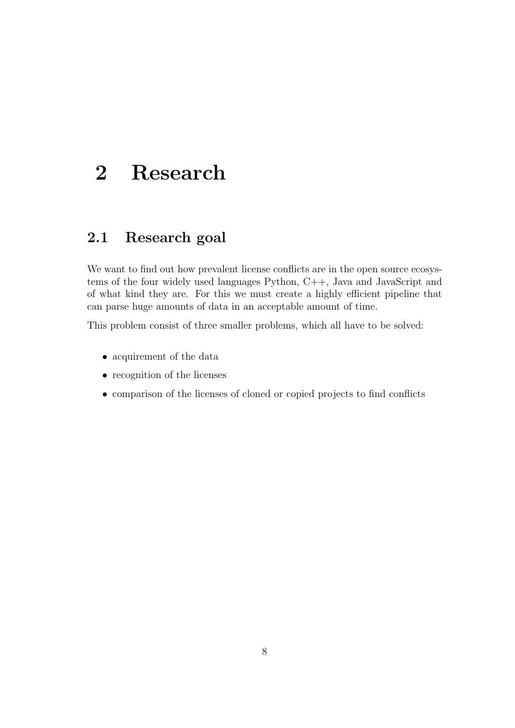# <span id="page-12-0"></span>2 Research

## <span id="page-12-1"></span>2.1 Research goal

We want to find out how prevalent license conflicts are in the open source ecosystems of the four widely used languages Python, C++, Java and JavaScript and of what kind they are. For this we must create a highly efficient pipeline that can parse huge amounts of data in an acceptable amount of time.

This problem consist of three smaller problems, which all have to be solved:

- acquirement of the data
- recognition of the licenses
- <span id="page-12-2"></span>• comparison of the licenses of cloned or copied projects to find conflicts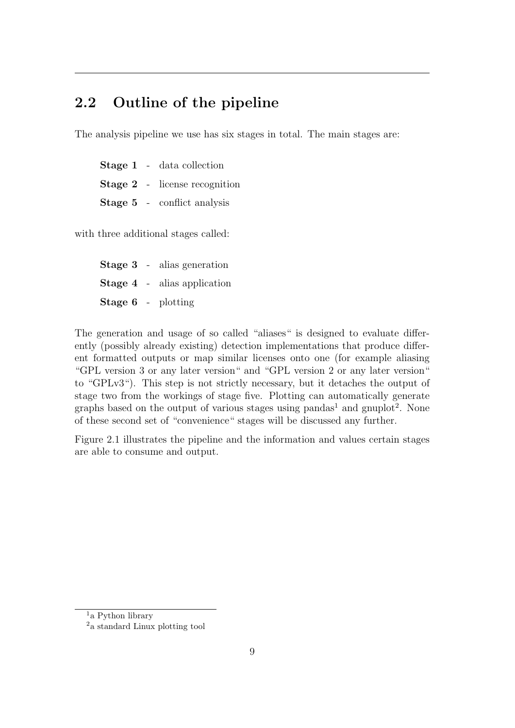## 2.2 Outline of the pipeline

The analysis pipeline we use has six stages in total. The main stages are:

Stage 1 - data collection Stage 2 - license recognition Stage 5 - conflict analysis

with three additional stages called:

Stage 3 - alias generation Stage 4 - alias application Stage 6 - plotting

The generation and usage of so called "aliases" is designed to evaluate differently (possibly already existing) detection implementations that produce different formatted outputs or map similar licenses onto one (for example aliasing "GPL version 3 or any later version" and "GPL version 2 or any later version" to "GPLv3"). This step is not strictly necessary, but it detaches the output of stage two from the workings of stage five. Plotting can automatically generate graphs based on the output of various stages using pandas<sup>[1](#page-13-1)</sup> and gnuplot<sup>[2](#page-13-2)</sup>. None of these second set of "convenience" stages will be discussed any further.

<span id="page-13-0"></span>Figure [2.1](#page-14-0) illustrates the pipeline and the information and values certain stages are able to consume and output.

<span id="page-13-1"></span><sup>&</sup>lt;sup>1</sup>a Python library

<span id="page-13-2"></span><sup>2</sup>a standard Linux plotting tool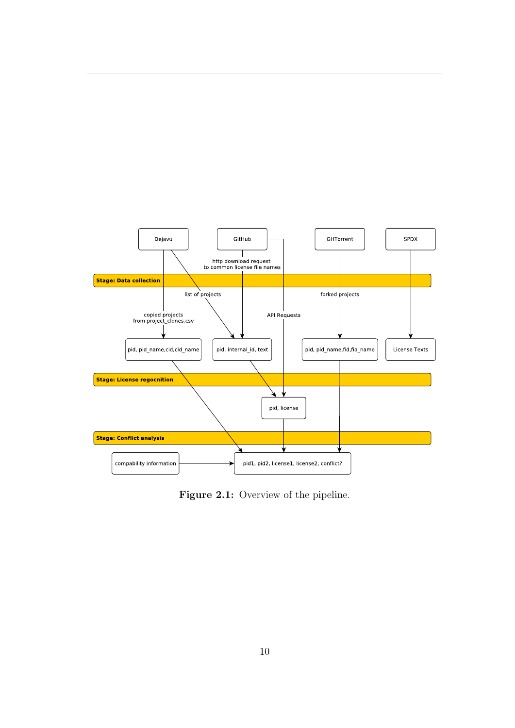<span id="page-14-0"></span>

Figure 2.1: Overview of the pipeline.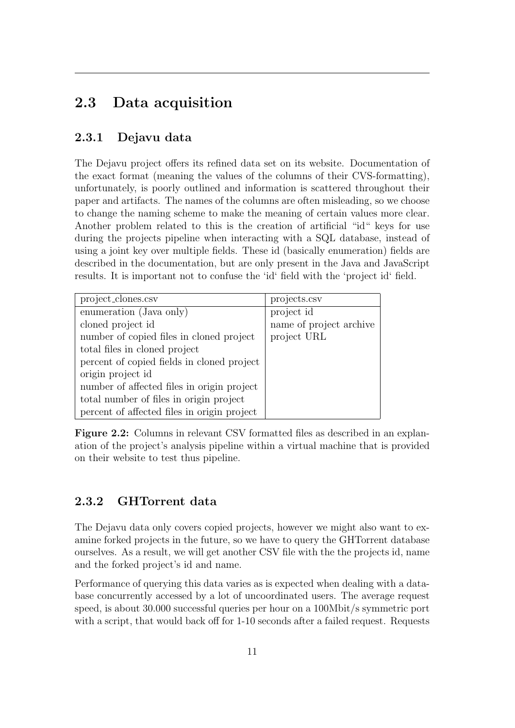## 2.3 Data acquisition

### <span id="page-15-0"></span>2.3.1 Dejavu data

The Dejavu project offers its refined data set on its website. Documentation of the exact format (meaning the values of the columns of their CVS-formatting), unfortunately, is poorly outlined and information is scattered throughout their paper and artifacts. The names of the columns are often misleading, so we choose to change the naming scheme to make the meaning of certain values more clear. Another problem related to this is the creation of artificial "id" keys for use during the projects pipeline when interacting with a SQL database, instead of using a joint key over multiple fields. These id (basically enumeration) fields are described in the documentation, but are only present in the Java and JavaScript results. It is important not to confuse the 'id' field with the 'project id' field.

| project_clones.csv                          | projects.csv            |
|---------------------------------------------|-------------------------|
| enumeration (Java only)                     | project id              |
| cloned project id                           | name of project archive |
| number of copied files in cloned project    | project URL             |
| total files in cloned project               |                         |
| percent of copied fields in cloned project  |                         |
| origin project id                           |                         |
| number of affected files in origin project  |                         |
| total number of files in origin project     |                         |
| percent of affected files in origin project |                         |

Figure 2.2: Columns in relevant CSV formatted files as described in an explanation of the project's analysis pipeline within a virtual machine that is provided on their website to test thus pipeline.

### <span id="page-15-1"></span>2.3.2 GHTorrent data

The Dejavu data only covers copied projects, however we might also want to examine forked projects in the future, so we have to query the GHTorrent database ourselves. As a result, we will get another CSV file with the the projects id, name and the forked project's id and name.

Performance of querying this data varies as is expected when dealing with a database concurrently accessed by a lot of uncoordinated users. The average request speed, is about 30.000 successful queries per hour on a 100Mbit/s symmetric port with a script, that would back off for 1-10 seconds after a failed request. Requests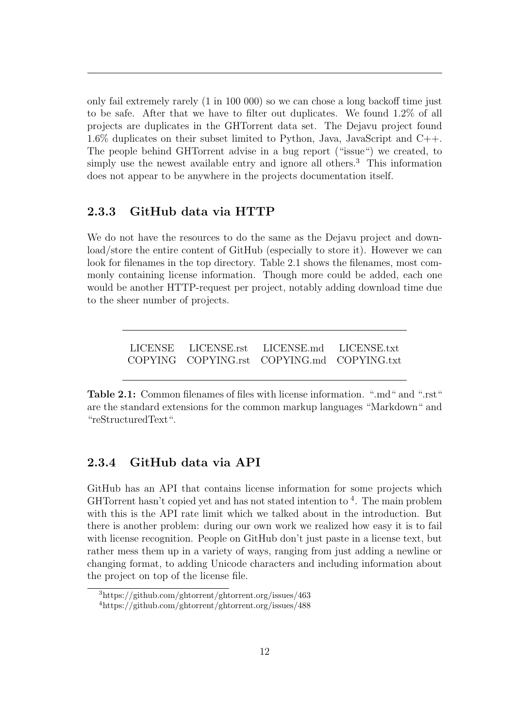only fail extremely rarely (1 in 100 000) so we can chose a long backoff time just to be safe. After that we have to filter out duplicates. We found 1.2% of all projects are duplicates in the GHTorrent data set. The Dejavu project found 1.6% duplicates on their subset limited to Python, Java, JavaScript and  $C_{++}$ . The people behind GHTorrent advise in a bug report ("issue") we created, to simply use the newest available entry and ignore all others.<sup>[3](#page-16-2)</sup> This information does not appear to be anywhere in the projects documentation itself.

#### <span id="page-16-0"></span>2.3.3 GitHub data via HTTP

We do not have the resources to do the same as the Dejavu project and download/store the entire content of GitHub (especially to store it). However we can look for filenames in the top directory. Table [2.1](#page-16-3) shows the filenames, most commonly containing license information. Though more could be added, each one would be another HTTP-request per project, notably adding download time due to the sheer number of projects.

> <span id="page-16-3"></span>LICENSE LICENSE.rst LICENSE.md LICENSE.txt COPYING COPYING.rst COPYING.md COPYING.txt

Table 2.1: Common filenames of files with license information. ".md" and ".rst" are the standard extensions for the common markup languages "Markdown" and "reStructuredText".

#### <span id="page-16-1"></span>2.3.4 GitHub data via API

GitHub has an API that contains license information for some projects which GHTorrent hasn't copied yet and has not stated intention to <sup>[4](#page-16-4)</sup>. The main problem with this is the API rate limit which we talked about in the introduction. But there is another problem: during our own work we realized how easy it is to fail with license recognition. People on GitHub don't just paste in a license text, but rather mess them up in a variety of ways, ranging from just adding a newline or changing format, to adding Unicode characters and including information about the project on top of the license file.

<span id="page-16-2"></span> $3$ https://github.com/ghtorrent/ghtorrent.org/issues/463

<span id="page-16-4"></span><sup>4</sup>https://github.com/ghtorrent/ghtorrent.org/issues/488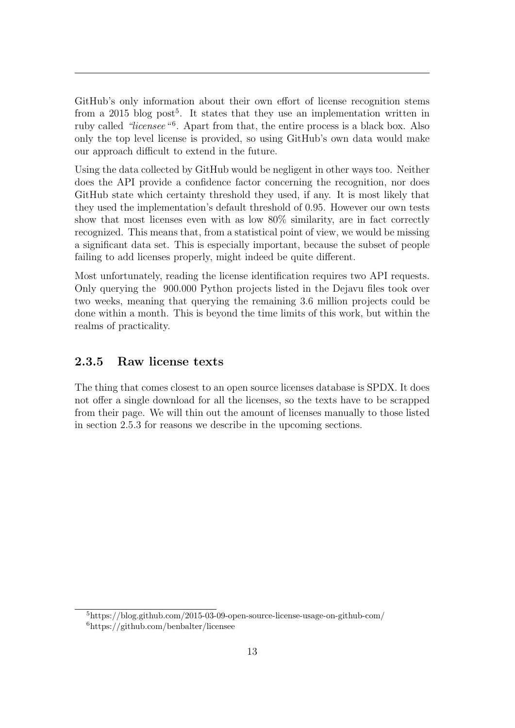GitHub's only information about their own effort of license recognition stems from a 201[5](#page-17-2) blog post<sup>5</sup>. It states that they use an implementation written in ruby called "licensee"<sup>[6](#page-17-3)</sup>. Apart from that, the entire process is a black box. Also only the top level license is provided, so using GitHub's own data would make our approach difficult to extend in the future.

Using the data collected by GitHub would be negligent in other ways too. Neither does the API provide a confidence factor concerning the recognition, nor does GitHub state which certainty threshold they used, if any. It is most likely that they used the implementation's default threshold of 0.95. However our own tests show that most licenses even with as low 80% similarity, are in fact correctly recognized. This means that, from a statistical point of view, we would be missing a significant data set. This is especially important, because the subset of people failing to add licenses properly, might indeed be quite different.

Most unfortunately, reading the license identification requires two API requests. Only querying the 900.000 Python projects listed in the Dejavu files took over two weeks, meaning that querying the remaining 3.6 million projects could be done within a month. This is beyond the time limits of this work, but within the realms of practicality.

#### <span id="page-17-0"></span>2.3.5 Raw license texts

<span id="page-17-1"></span>The thing that comes closest to an open source licenses database is SPDX. It does not offer a single download for all the licenses, so the texts have to be scrapped from their page. We will thin out the amount of licenses manually to those listed in section [2.5.3](#page-23-3) for reasons we describe in the upcoming sections.

<span id="page-17-3"></span><span id="page-17-2"></span><sup>5</sup>https://blog.github.com/2015-03-09-open-source-license-usage-on-github-com/  $6$ https://github.com/benbalter/licensee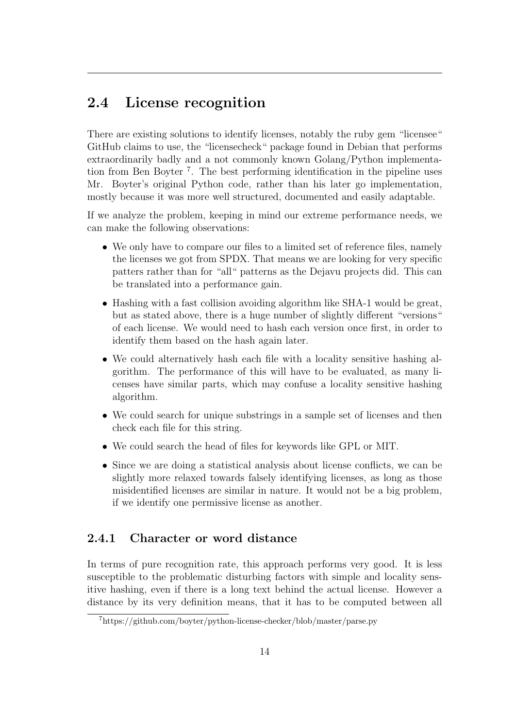### 2.4 License recognition

There are existing solutions to identify licenses, notably the ruby gem "licensee" GitHub claims to use, the "licensecheck" package found in Debian that performs extraordinarily badly and a not commonly known Golang/Python implementation from Ben Boyter [7](#page-18-1) . The best performing identification in the pipeline uses Mr. Boyter's original Python code, rather than his later go implementation, mostly because it was more well structured, documented and easily adaptable.

If we analyze the problem, keeping in mind our extreme performance needs, we can make the following observations:

- We only have to compare our files to a limited set of reference files, namely the licenses we got from SPDX. That means we are looking for very specific patters rather than for "all" patterns as the Dejavu projects did. This can be translated into a performance gain.
- Hashing with a fast collision avoiding algorithm like SHA-1 would be great, but as stated above, there is a huge number of slightly different "versions" of each license. We would need to hash each version once first, in order to identify them based on the hash again later.
- We could alternatively hash each file with a locality sensitive hashing algorithm. The performance of this will have to be evaluated, as many licenses have similar parts, which may confuse a locality sensitive hashing algorithm.
- We could search for unique substrings in a sample set of licenses and then check each file for this string.
- We could search the head of files for keywords like GPL or MIT.
- Since we are doing a statistical analysis about license conflicts, we can be slightly more relaxed towards falsely identifying licenses, as long as those misidentified licenses are similar in nature. It would not be a big problem, if we identify one permissive license as another.

### <span id="page-18-0"></span>2.4.1 Character or word distance

In terms of pure recognition rate, this approach performs very good. It is less susceptible to the problematic disturbing factors with simple and locality sensitive hashing, even if there is a long text behind the actual license. However a distance by its very definition means, that it has to be computed between all

<span id="page-18-1"></span><sup>7</sup>https://github.com/boyter/python-license-checker/blob/master/parse.py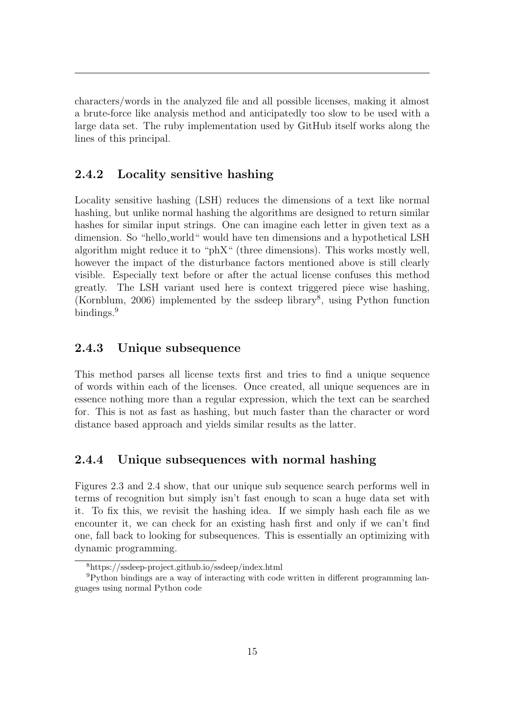characters/words in the analyzed file and all possible licenses, making it almost a brute-force like analysis method and anticipatedly too slow to be used with a large data set. The ruby implementation used by GitHub itself works along the lines of this principal.

### <span id="page-19-0"></span>2.4.2 Locality sensitive hashing

Locality sensitive hashing (LSH) reduces the dimensions of a text like normal hashing, but unlike normal hashing the algorithms are designed to return similar hashes for similar input strings. One can imagine each letter in given text as a dimension. So "hello world" would have ten dimensions and a hypothetical LSH algorithm might reduce it to "phX" (three dimensions). This works mostly well, however the impact of the disturbance factors mentioned above is still clearly visible. Especially text before or after the actual license confuses this method greatly. The LSH variant used here is context triggered piece wise hashing, (Kornblum, [2006\)](#page-42-4) implemented by the ssdeep library[8](#page-19-4) , using Python function bindings.<sup>[9](#page-19-5)</sup>

#### <span id="page-19-1"></span>2.4.3 Unique subsequence

This method parses all license texts first and tries to find a unique sequence of words within each of the licenses. Once created, all unique sequences are in essence nothing more than a regular expression, which the text can be searched for. This is not as fast as hashing, but much faster than the character or word distance based approach and yields similar results as the latter.

#### <span id="page-19-2"></span>2.4.4 Unique subsequences with normal hashing

Figures [2.3](#page-21-0) and [2.4](#page-22-0) show, that our unique sub sequence search performs well in terms of recognition but simply isn't fast enough to scan a huge data set with it. To fix this, we revisit the hashing idea. If we simply hash each file as we encounter it, we can check for an existing hash first and only if we can't find one, fall back to looking for subsequences. This is essentially an optimizing with dynamic programming.

<span id="page-19-5"></span><span id="page-19-4"></span><span id="page-19-3"></span><sup>8</sup>https://ssdeep-project.github.io/ssdeep/index.html

<sup>9</sup>Python bindings are a way of interacting with code written in different programming languages using normal Python code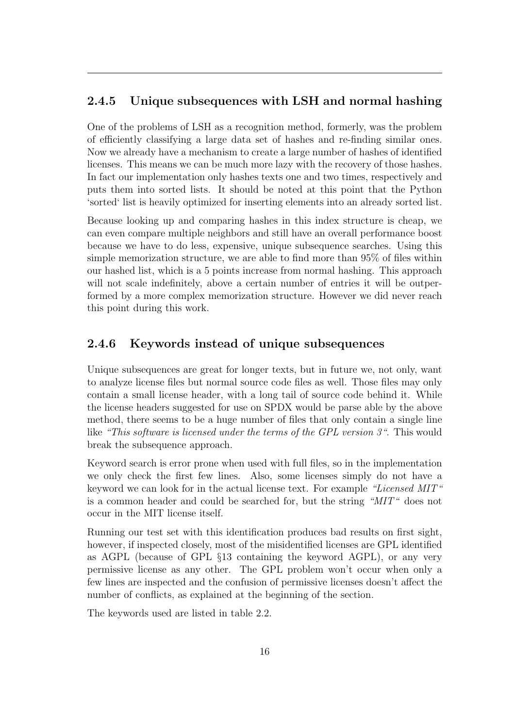### 2.4.5 Unique subsequences with LSH and normal hashing

One of the problems of LSH as a recognition method, formerly, was the problem of efficiently classifying a large data set of hashes and re-finding similar ones. Now we already have a mechanism to create a large number of hashes of identified licenses. This means we can be much more lazy with the recovery of those hashes. In fact our implementation only hashes texts one and two times, respectively and puts them into sorted lists. It should be noted at this point that the Python 'sorted' list is heavily optimized for inserting elements into an already sorted list.

Because looking up and comparing hashes in this index structure is cheap, we can even compare multiple neighbors and still have an overall performance boost because we have to do less, expensive, unique subsequence searches. Using this simple memorization structure, we are able to find more than 95% of files within our hashed list, which is a 5 points increase from normal hashing. This approach will not scale indefinitely, above a certain number of entries it will be outperformed by a more complex memorization structure. However we did never reach this point during this work.

### <span id="page-20-0"></span>2.4.6 Keywords instead of unique subsequences

Unique subsequences are great for longer texts, but in future we, not only, want to analyze license files but normal source code files as well. Those files may only contain a small license header, with a long tail of source code behind it. While the license headers suggested for use on SPDX would be parse able by the above method, there seems to be a huge number of files that only contain a single line like "This software is licensed under the terms of the GPL version 3". This would break the subsequence approach.

Keyword search is error prone when used with full files, so in the implementation we only check the first few lines. Also, some licenses simply do not have a keyword we can look for in the actual license text. For example "Licensed MIT" is a common header and could be searched for, but the string "MIT" does not occur in the MIT license itself.

Running our test set with this identification produces bad results on first sight, however, if inspected closely, most of the misidentified licenses are GPL identified as AGPL (because of GPL §13 containing the keyword AGPL), or any very permissive license as any other. The GPL problem won't occur when only a few lines are inspected and the confusion of permissive licenses doesn't affect the number of conflicts, as explained at the beginning of the section.

The keywords used are listed in table [2.2.](#page-21-1)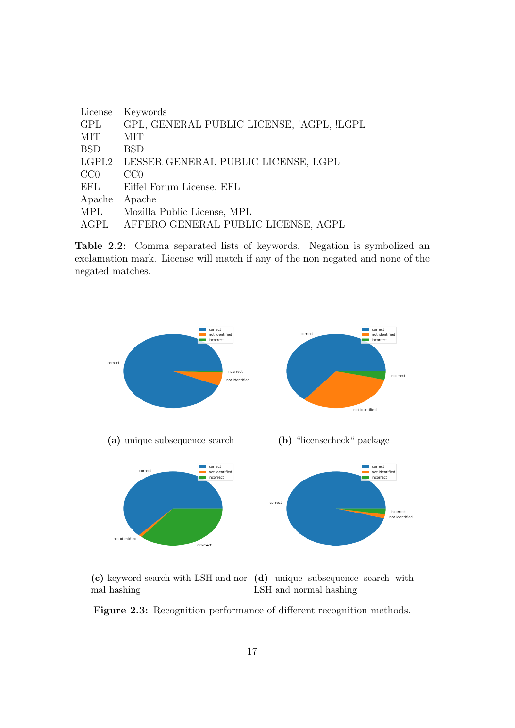<span id="page-21-1"></span>

| License    | Keywords                                  |
|------------|-------------------------------------------|
| <b>GPL</b> | GPL, GENERAL PUBLIC LICENSE, !AGPL, !LGPL |
| <b>MIT</b> | <b>MIT</b>                                |
| <b>BSD</b> | <b>BSD</b>                                |
| LGPL2      | LESSER GENERAL PUBLIC LICENSE, LGPL       |
| CC0        | CC0                                       |
| EFL        | Eiffel Forum License, EFL                 |
| Apache     | Apache                                    |
| <b>MPL</b> | Mozilla Public License, MPL               |
| AGPL       | AFFERO GENERAL PUBLIC LICENSE, AGPL       |

Table 2.2: Comma separated lists of keywords. Negation is symbolized an exclamation mark. License will match if any of the non negated and none of the negated matches.

<span id="page-21-0"></span>

(c) keyword search with LSH and nor-(d) unique subsequence search with mal hashing LSH and normal hashing

Figure 2.3: Recognition performance of different recognition methods.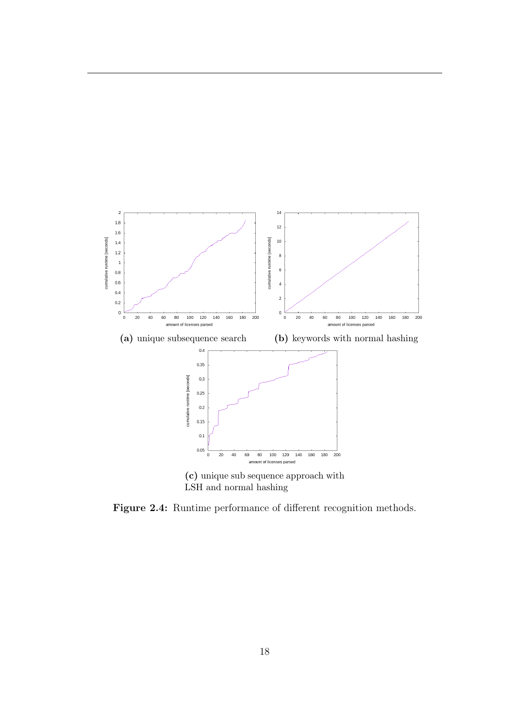<span id="page-22-0"></span>

LSH and normal hashing

Figure 2.4: Runtime performance of different recognition methods.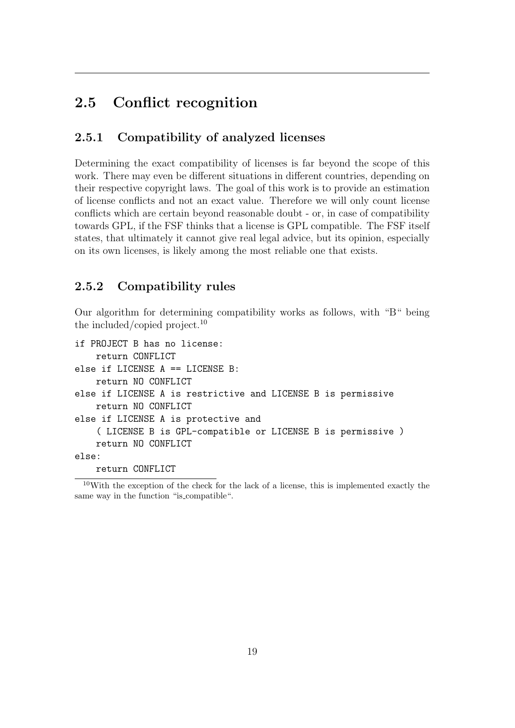## <span id="page-23-0"></span>2.5 Conflict recognition

### <span id="page-23-1"></span>2.5.1 Compatibility of analyzed licenses

Determining the exact compatibility of licenses is far beyond the scope of this work. There may even be different situations in different countries, depending on their respective copyright laws. The goal of this work is to provide an estimation of license conflicts and not an exact value. Therefore we will only count license conflicts which are certain beyond reasonable doubt - or, in case of compatibility towards GPL, if the FSF thinks that a license is GPL compatible. The FSF itself states, that ultimately it cannot give real legal advice, but its opinion, especially on its own licenses, is likely among the most reliable one that exists.

### <span id="page-23-2"></span>2.5.2 Compatibility rules

Our algorithm for determining compatibility works as follows, with "B" being the included/copied project.<sup>[10](#page-23-4)</sup>

```
if PROJECT B has no license:
    return CONFLICT
else if LICENSE A == LICENSE B:
    return NO CONFLICT
else if LICENSE A is restrictive and LICENSE B is permissive
    return NO CONFLICT
else if LICENSE A is protective and
    ( LICENSE B is GPL-compatible or LICENSE B is permissive )
    return NO CONFLICT
else:
```
<span id="page-23-4"></span>return CONFLICT

<span id="page-23-3"></span> $10$ With the exception of the check for the lack of a license, this is implemented exactly the same way in the function "is compatible".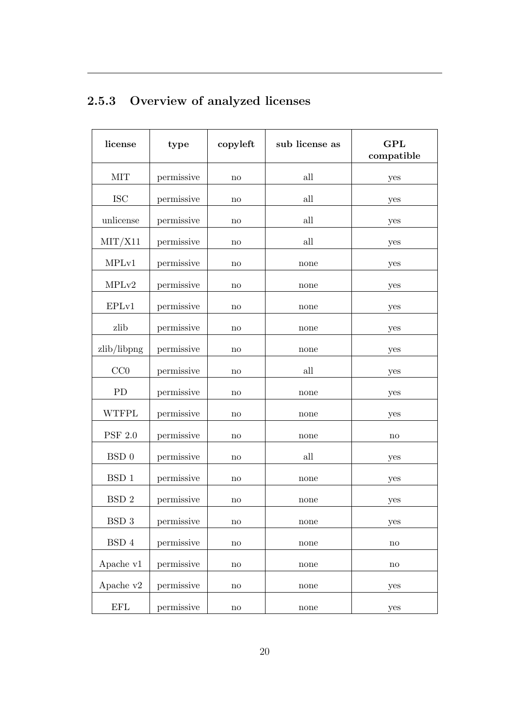| license                 | type       | copyleft               | sub license as | <b>GPL</b><br>compatible |
|-------------------------|------------|------------------------|----------------|--------------------------|
| <b>MIT</b>              | permissive | no                     | all            | yes                      |
| <b>ISC</b>              | permissive | $\mathbf{n}\mathbf{o}$ | all            | yes                      |
| unlicense               | permissive | no                     | all            | yes                      |
| $\text{MIT}/\text{X}11$ | permissive | $\mathbf{n}\mathbf{o}$ | all            | yes                      |
| MPLv1                   | permissive | $\mathbf{n}\mathbf{o}$ | none           | yes                      |
| MPLv2                   | permissive | no                     | none           | yes                      |
| EPLv1                   | permissive | no                     | none           | yes                      |
| zlib                    | permissive | no                     | none           | yes                      |
| zlib/libpng             | permissive | no                     | none           | yes                      |
| CC0                     | permissive | no                     | all            | yes                      |
| <b>PD</b>               | permissive | no                     | none           | yes                      |
| <b>WTFPL</b>            | permissive | $\mathbf{n}\mathbf{o}$ | none           | yes                      |
| <b>PSF 2.0</b>          | permissive | no                     | none           | no                       |
| BSD <sub>0</sub>        | permissive | no                     | all            | yes                      |
| BSD <sub>1</sub>        | permissive | no                     | none           | yes                      |
| BSD <sub>2</sub>        | permissive | $\mathbf{n}\mathbf{o}$ | none           | yes                      |
| BSD 3                   | permissive | $\mathop{\mathrm{no}}$ | none           | yes                      |
| $\operatorname{BSD}4$   | permissive | $\mathop{\mathrm{no}}$ | none           | $\mathop{\mathrm{no}}$   |
| Apache v1               | permissive | $\mathop{\mathrm{no}}$ | none           | $\mathbf{no}$            |
| Apache v2               | permissive | $\mathop{\mathrm{no}}$ | none           | yes                      |
| <b>EFL</b>              | permissive | $\rm {no}$             | none           | yes                      |

# 2.5.3 Overview of analyzed licenses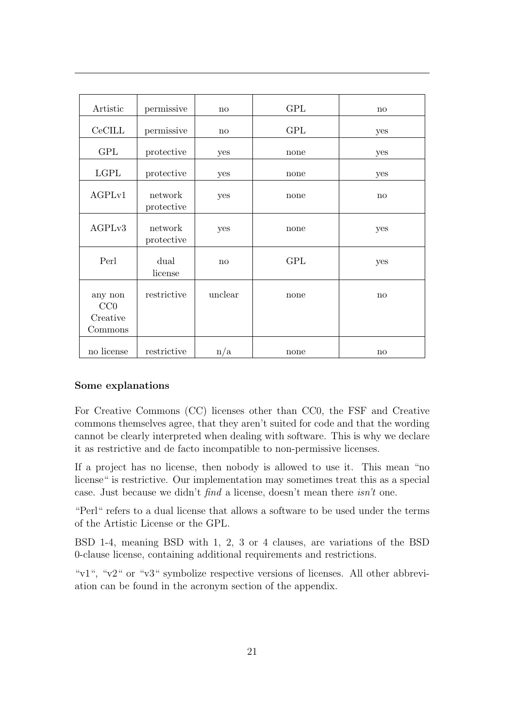| Artistic                              | permissive            | no      | <b>GPL</b> | no  |
|---------------------------------------|-----------------------|---------|------------|-----|
| CeCILL                                | permissive            | no      | <b>GPL</b> | yes |
| <b>GPL</b>                            | protective            | yes     | none       | yes |
| <b>LGPL</b>                           | protective            | yes     | none       | yes |
| AGPLv1                                | network<br>protective | yes     | none       | no  |
| AGPLv3                                | network<br>protective | yes     | none       | yes |
| Perl                                  | dual<br>license       | no      | <b>GPL</b> | yes |
| any non<br>CC0<br>Creative<br>Commons | restrictive           | unclear | none       | no  |
| no license                            | restrictive           | n/a     | none       | no  |

#### Some explanations

For Creative Commons (CC) licenses other than CC0, the FSF and Creative commons themselves agree, that they aren't suited for code and that the wording cannot be clearly interpreted when dealing with software. This is why we declare it as restrictive and de facto incompatible to non-permissive licenses.

If a project has no license, then nobody is allowed to use it. This mean "no license" is restrictive. Our implementation may sometimes treat this as a special case. Just because we didn't find a license, doesn't mean there isn't one.

"Perl" refers to a dual license that allows a software to be used under the terms of the Artistic License or the GPL.

BSD 1-4, meaning BSD with 1, 2, 3 or 4 clauses, are variations of the BSD 0-clause license, containing additional requirements and restrictions.

<span id="page-25-0"></span>"v1", "v2" or "v3" symbolize respective versions of licenses. All other abbreviation can be found in the acronym section of the appendix.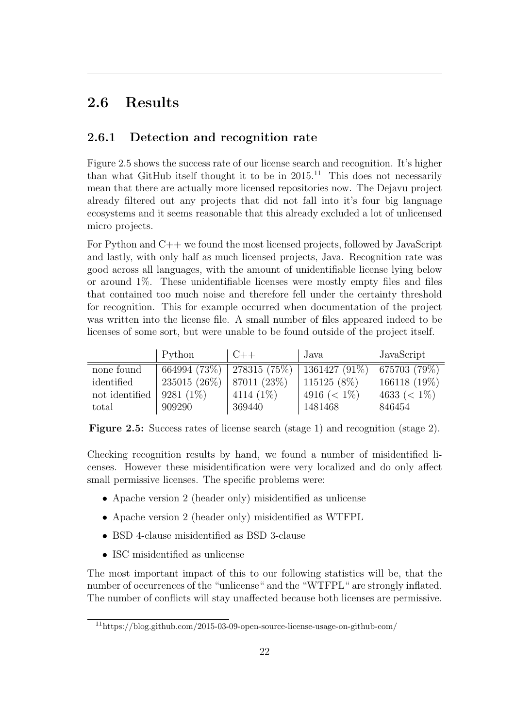## 2.6 Results

### <span id="page-26-0"></span>2.6.1 Detection and recognition rate

Figure [2.5](#page-26-1) shows the success rate of our license search and recognition. It's higher than what GitHub itself thought it to be in  $2015$ .<sup>[11](#page-26-2)</sup> This does not necessarily mean that there are actually more licensed repositories now. The Dejavu project already filtered out any projects that did not fall into it's four big language ecosystems and it seems reasonable that this already excluded a lot of unlicensed micro projects.

For Python and C++ we found the most licensed projects, followed by JavaScript and lastly, with only half as much licensed projects, Java. Recognition rate was good across all languages, with the amount of unidentifiable license lying below or around 1%. These unidentifiable licenses were mostly empty files and files that contained too much noise and therefore fell under the certainty threshold for recognition. This for example occurred when documentation of the project was written into the license file. A small number of files appeared indeed to be licenses of some sort, but were unable to be found outside of the project itself.

<span id="page-26-1"></span>

|                | Python       | $C++$                         | Java             | JavaScript       |
|----------------|--------------|-------------------------------|------------------|------------------|
| none found     |              | 664994 (73\%)   278315 (75\%) | $1361427(91\%)$  | 675703 (79%)     |
| identified     | 235015 (26%) | 87011 $(23\%)$                | $115125(8\%)$    | 166118 (19%)     |
| not identified | $9281(1\%)$  | 4114 $(1\%)$                  | 4916 ( $< 1\%$ ) | 4633 ( $< 1\%$ ) |
| total          | 909290       | 369440                        | 1481468          | 846454           |

Figure 2.5: Success rates of license search (stage 1) and recognition (stage 2).

Checking recognition results by hand, we found a number of misidentified licenses. However these misidentification were very localized and do only affect small permissive licenses. The specific problems were:

- Apache version 2 (header only) misidentified as unlicense
- Apache version 2 (header only) misidentified as WTFPL
- BSD 4-clause misidentified as BSD 3-clause
- ISC misidentified as unlicense

The most important impact of this to our following statistics will be, that the number of occurrences of the "unlicense" and the "WTFPL" are strongly inflated. The number of conflicts will stay unaffected because both licenses are permissive.

<span id="page-26-2"></span><sup>11</sup>https://blog.github.com/2015-03-09-open-source-license-usage-on-github-com/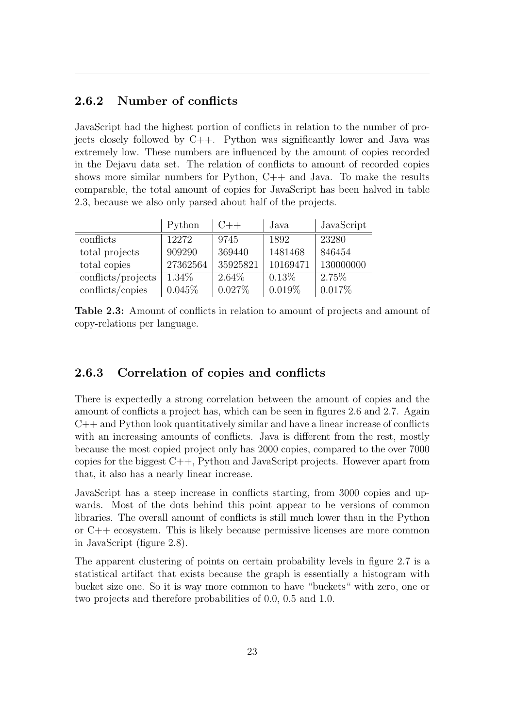### <span id="page-27-0"></span>2.6.2 Number of conflicts

JavaScript had the highest portion of conflicts in relation to the number of projects closely followed by C++. Python was significantly lower and Java was extremely low. These numbers are influenced by the amount of copies recorded in the Dejavu data set. The relation of conflicts to amount of recorded copies shows more similar numbers for Python, C++ and Java. To make the results comparable, the total amount of copies for JavaScript has been halved in table [2.3,](#page-27-2) because we also only parsed about half of the projects.

<span id="page-27-2"></span>

|                    | Python   | $C_{++}$ | Java     | JavaScript |
|--------------------|----------|----------|----------|------------|
| conflicts          | 12272    | 9745     | 1892     | 23280      |
| total projects     | 909290   | 369440   | 1481468  | 846454     |
| total copies       | 27362564 | 35925821 | 10169471 | 130000000  |
| conflicts/projects | 1.34\%   | $2.64\%$ | $0.13\%$ | $2.75\%$   |
| conflicts/copies   | 0.045%   | 0.027%   | 0.019%   | 0.017%     |

Table 2.3: Amount of conflicts in relation to amount of projects and amount of copy-relations per language.

### <span id="page-27-1"></span>2.6.3 Correlation of copies and conflicts

There is expectedly a strong correlation between the amount of copies and the amount of conflicts a project has, which can be seen in figures [2.6](#page-28-0) and [2.7.](#page-29-0) Again  $C++$  and Python look quantitatively similar and have a linear increase of conflicts with an increasing amounts of conflicts. Java is different from the rest, mostly because the most copied project only has 2000 copies, compared to the over 7000 copies for the biggest C++, Python and JavaScript projects. However apart from that, it also has a nearly linear increase.

JavaScript has a steep increase in conflicts starting, from 3000 copies and upwards. Most of the dots behind this point appear to be versions of common libraries. The overall amount of conflicts is still much lower than in the Python or C++ ecosystem. This is likely because permissive licenses are more common in JavaScript (figure [2.8\)](#page-30-1).

The apparent clustering of points on certain probability levels in figure [2.7](#page-29-0) is a statistical artifact that exists because the graph is essentially a histogram with bucket size one. So it is way more common to have "buckets" with zero, one or two projects and therefore probabilities of 0.0, 0.5 and 1.0.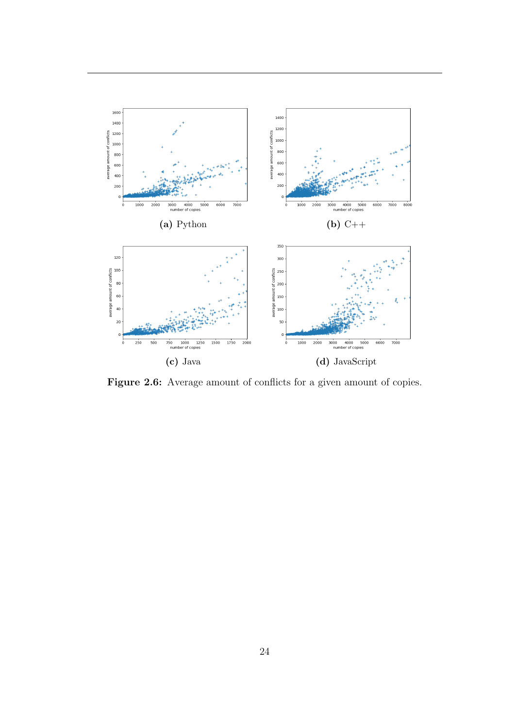<span id="page-28-0"></span>

Figure 2.6: Average amount of conflicts for a given amount of copies.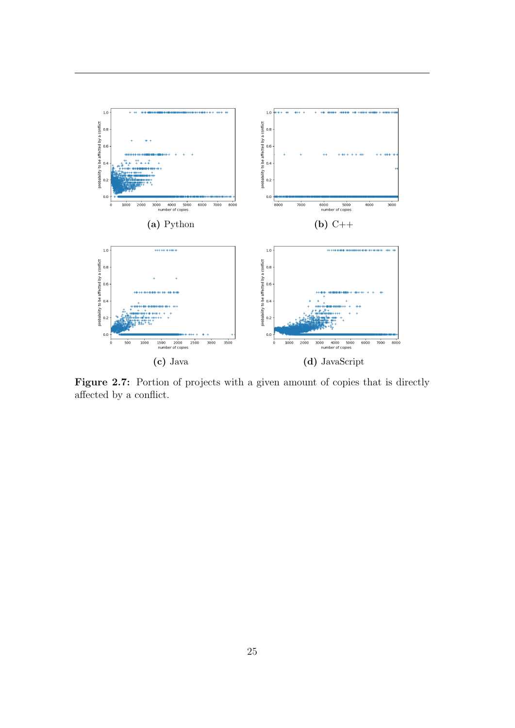<span id="page-29-0"></span>

Figure 2.7: Portion of projects with a given amount of copies that is directly affected by a conflict.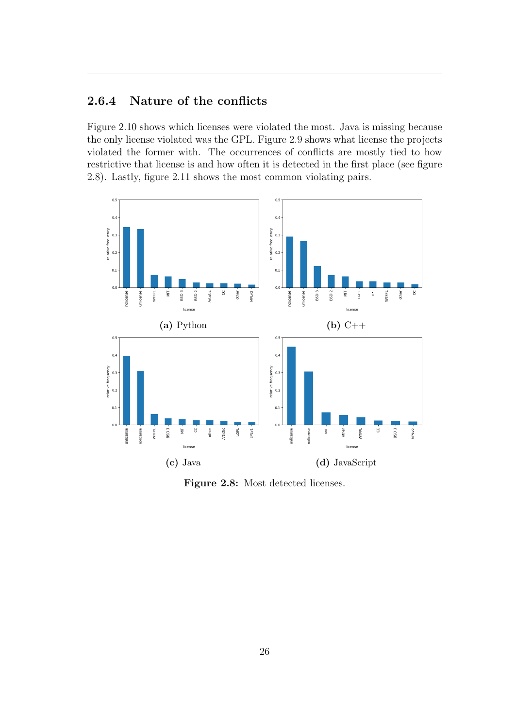### <span id="page-30-0"></span>2.6.4 Nature of the conflicts

Figure [2.10](#page-31-0) shows which licenses were violated the most. Java is missing because the only license violated was the GPL. Figure [2.9](#page-31-1) shows what license the projects violated the former with. The occurrences of conflicts are mostly tied to how restrictive that license is and how often it is detected in the first place (see figure [2.8\)](#page-30-1). Lastly, figure [2.11](#page-32-0) shows the most common violating pairs.

<span id="page-30-1"></span>

Figure 2.8: Most detected licenses.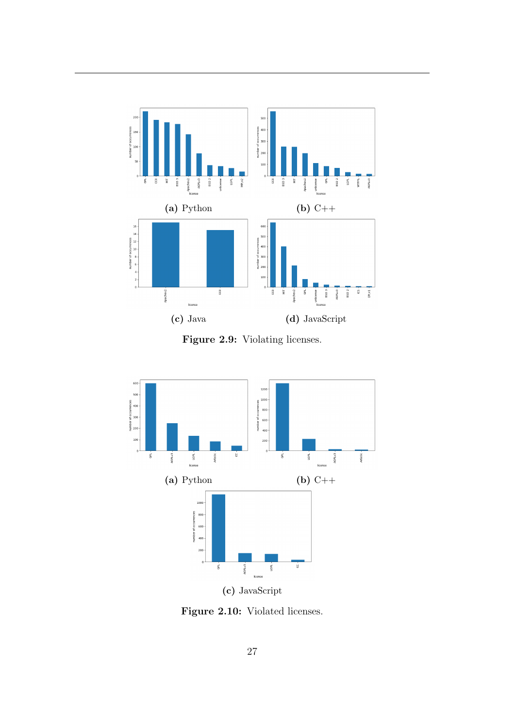<span id="page-31-1"></span>

Figure 2.9: Violating licenses.

<span id="page-31-0"></span>

Figure 2.10: Violated licenses.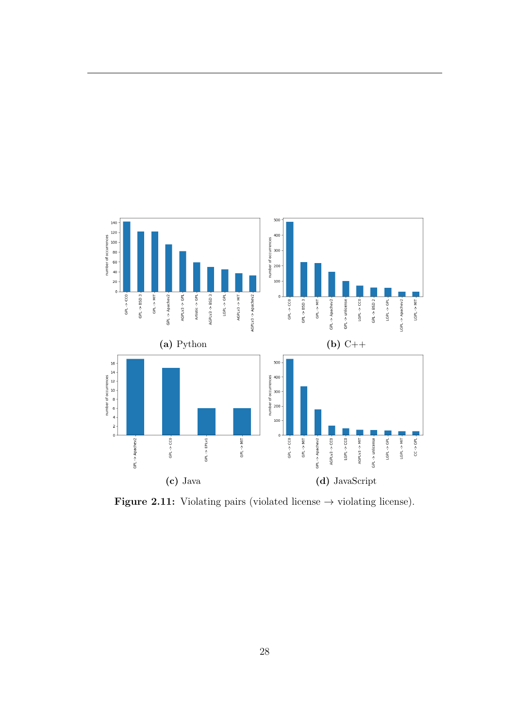<span id="page-32-0"></span>

Figure 2.11: Violating pairs (violated license  $\rightarrow$  violating license).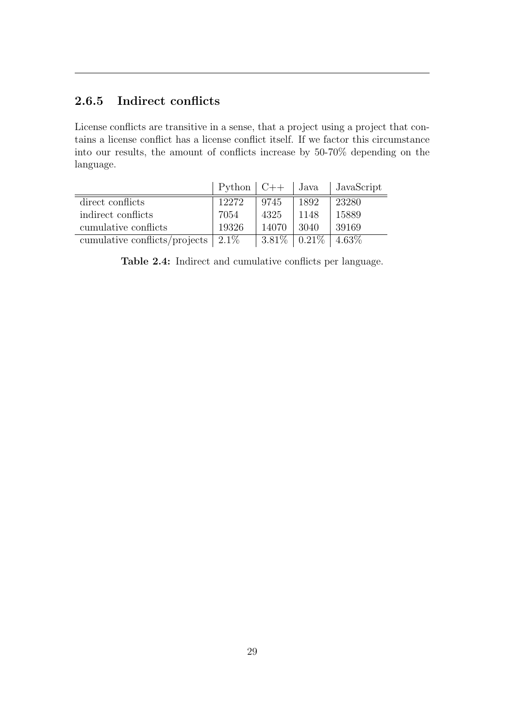### <span id="page-33-0"></span>2.6.5 Indirect conflicts

License conflicts are transitive in a sense, that a project using a project that contains a license conflict has a license conflict itself. If we factor this circumstance into our results, the amount of conflicts increase by 50-70% depending on the language.

<span id="page-33-2"></span>

|                               | $\mid$ Python $\mid$ C++ $\mid$ Java |          |                           | JavaScript |
|-------------------------------|--------------------------------------|----------|---------------------------|------------|
| direct conflicts              | 12272                                | 9745     | 1892                      | 23280      |
| indirect conflicts            | 7054                                 | 4325     | 1148                      | 15889      |
| cumulative conflicts          | 19326                                | 14070    | -3040                     | 39169      |
| cumulative conflicts/projects | $2.1\%$                              | $3.81\%$ | $\mid 0.21\% \mid 4.63\%$ |            |

<span id="page-33-1"></span>Table 2.4: Indirect and cumulative conflicts per language.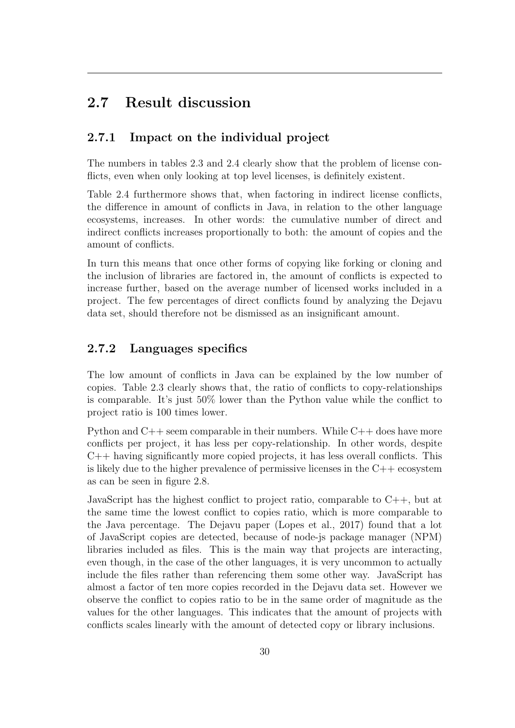### 2.7 Result discussion

### <span id="page-34-0"></span>2.7.1 Impact on the individual project

The numbers in tables [2.3](#page-27-2) and [2.4](#page-33-2) clearly show that the problem of license conflicts, even when only looking at top level licenses, is definitely existent.

Table [2.4](#page-33-2) furthermore shows that, when factoring in indirect license conflicts, the difference in amount of conflicts in Java, in relation to the other language ecosystems, increases. In other words: the cumulative number of direct and indirect conflicts increases proportionally to both: the amount of copies and the amount of conflicts.

In turn this means that once other forms of copying like forking or cloning and the inclusion of libraries are factored in, the amount of conflicts is expected to increase further, based on the average number of licensed works included in a project. The few percentages of direct conflicts found by analyzing the Dejavu data set, should therefore not be dismissed as an insignificant amount.

### <span id="page-34-1"></span>2.7.2 Languages specifics

The low amount of conflicts in Java can be explained by the low number of copies. Table [2.3](#page-27-2) clearly shows that, the ratio of conflicts to copy-relationships is comparable. It's just 50% lower than the Python value while the conflict to project ratio is 100 times lower.

Python and  $C++$  seem comparable in their numbers. While  $C++$  does have more conflicts per project, it has less per copy-relationship. In other words, despite C++ having significantly more copied projects, it has less overall conflicts. This is likely due to the higher prevalence of permissive licenses in the  $C++$  ecosystem as can be seen in figure [2.8.](#page-30-1)

JavaScript has the highest conflict to project ratio, comparable to  $C_{++}$ , but at the same time the lowest conflict to copies ratio, which is more comparable to the Java percentage. The Dejavu paper (Lopes et al., [2017\)](#page-42-2) found that a lot of JavaScript copies are detected, because of node-js package manager (NPM) libraries included as files. This is the main way that projects are interacting, even though, in the case of the other languages, it is very uncommon to actually include the files rather than referencing them some other way. JavaScript has almost a factor of ten more copies recorded in the Dejavu data set. However we observe the conflict to copies ratio to be in the same order of magnitude as the values for the other languages. This indicates that the amount of projects with conflicts scales linearly with the amount of detected copy or library inclusions.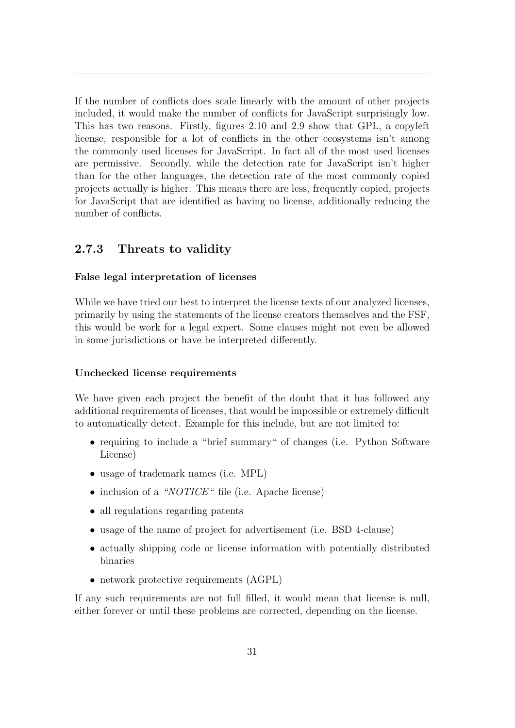If the number of conflicts does scale linearly with the amount of other projects included, it would make the number of conflicts for JavaScript surprisingly low. This has two reasons. Firstly, figures [2.10](#page-31-0) and [2.9](#page-31-1) show that GPL, a copyleft license, responsible for a lot of conflicts in the other ecosystems isn't among the commonly used licenses for JavaScript. In fact all of the most used licenses are permissive. Secondly, while the detection rate for JavaScript isn't higher than for the other languages, the detection rate of the most commonly copied projects actually is higher. This means there are less, frequently copied, projects for JavaScript that are identified as having no license, additionally reducing the number of conflicts.

#### <span id="page-35-0"></span>2.7.3 Threats to validity

#### False legal interpretation of licenses

While we have tried our best to interpret the license texts of our analyzed licenses, primarily by using the statements of the license creators themselves and the FSF, this would be work for a legal expert. Some clauses might not even be allowed in some jurisdictions or have be interpreted differently.

#### Unchecked license requirements

We have given each project the benefit of the doubt that it has followed any additional requirements of licenses, that would be impossible or extremely difficult to automatically detect. Example for this include, but are not limited to:

- requiring to include a "brief summary" of changes (i.e. Python Software License)
- usage of trademark names (i.e. MPL)
- inclusion of a "NOTICE" file (i.e. Apache license)
- all regulations regarding patents
- usage of the name of project for advertisement (i.e. BSD 4-clause)
- actually shipping code or license information with potentially distributed binaries
- network protective requirements (AGPL)

If any such requirements are not full filled, it would mean that license is null, either forever or until these problems are corrected, depending on the license.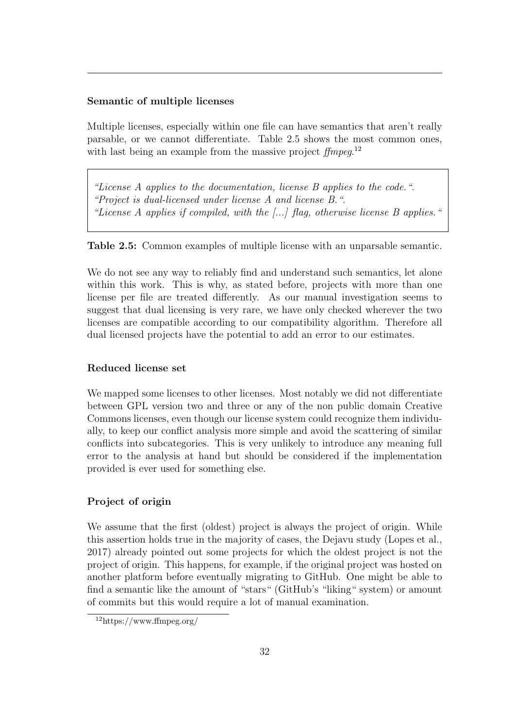#### Semantic of multiple licenses

Multiple licenses, especially within one file can have semantics that aren't really parsable, or we cannot differentiate. Table [2.5](#page-36-0) shows the most common ones, with last being an example from the massive project  $f/mpeg$ <sup>[12](#page-36-1)</sup>

<span id="page-36-0"></span>"License A applies to the documentation, license B applies to the code.". "Project is dual-licensed under license A and license B.". "License A applies if compiled, with the [...] flag, otherwise license B applies."

Table 2.5: Common examples of multiple license with an unparsable semantic.

We do not see any way to reliably find and understand such semantics, let alone within this work. This is why, as stated before, projects with more than one license per file are treated differently. As our manual investigation seems to suggest that dual licensing is very rare, we have only checked wherever the two licenses are compatible according to our compatibility algorithm. Therefore all dual licensed projects have the potential to add an error to our estimates.

#### Reduced license set

We mapped some licenses to other licenses. Most notably we did not differentiate between GPL version two and three or any of the non public domain Creative Commons licenses, even though our license system could recognize them individually, to keep our conflict analysis more simple and avoid the scattering of similar conflicts into subcategories. This is very unlikely to introduce any meaning full error to the analysis at hand but should be considered if the implementation provided is ever used for something else.

#### Project of origin

We assume that the first (oldest) project is always the project of origin. While this assertion holds true in the majority of cases, the Dejavu study (Lopes et al., [2017\)](#page-42-2) already pointed out some projects for which the oldest project is not the project of origin. This happens, for example, if the original project was hosted on another platform before eventually migrating to GitHub. One might be able to find a semantic like the amount of "stars" (GitHub's "liking" system) or amount of commits but this would require a lot of manual examination.

<span id="page-36-1"></span><sup>12</sup>https://www.ffmpeg.org/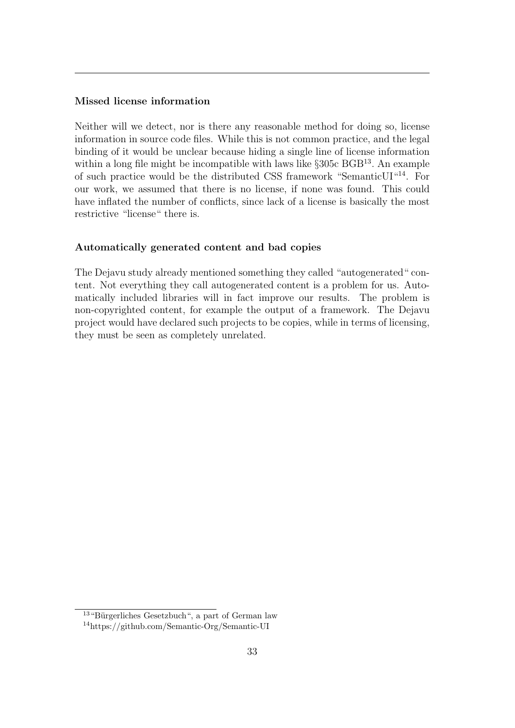#### Missed license information

Neither will we detect, nor is there any reasonable method for doing so, license information in source code files. While this is not common practice, and the legal binding of it would be unclear because hiding a single line of license information within a long file might be incompatible with laws like §305c BGB<sup>[13](#page-37-1)</sup>. An example of such practice would be the distributed CSS framework "SemanticUI"[14](#page-37-2). For our work, we assumed that there is no license, if none was found. This could have inflated the number of conflicts, since lack of a license is basically the most restrictive "license" there is.

#### Automatically generated content and bad copies

<span id="page-37-0"></span>The Dejavu study already mentioned something they called "autogenerated" content. Not everything they call autogenerated content is a problem for us. Automatically included libraries will in fact improve our results. The problem is non-copyrighted content, for example the output of a framework. The Dejavu project would have declared such projects to be copies, while in terms of licensing, they must be seen as completely unrelated.

<span id="page-37-1"></span> $13$  "Bürgerliches Gesetzbuch", a part of German law

<span id="page-37-2"></span><sup>14</sup>https://github.com/Semantic-Org/Semantic-UI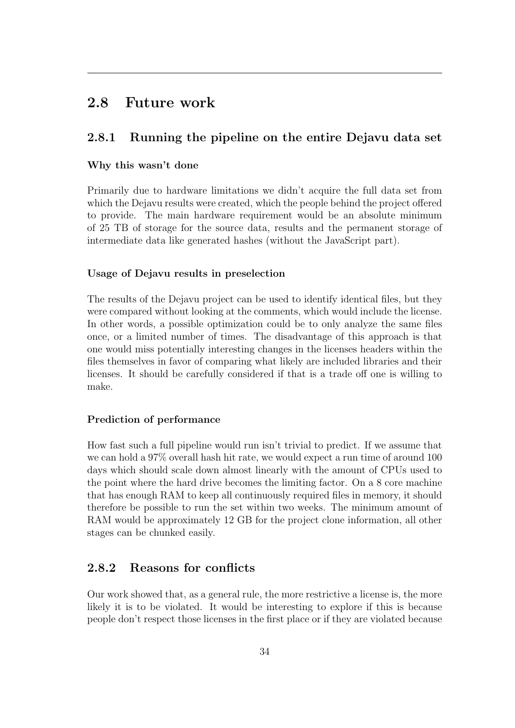### 2.8 Future work

### <span id="page-38-0"></span>2.8.1 Running the pipeline on the entire Dejavu data set

#### Why this wasn't done

Primarily due to hardware limitations we didn't acquire the full data set from which the Dejavu results were created, which the people behind the project offered to provide. The main hardware requirement would be an absolute minimum of 25 TB of storage for the source data, results and the permanent storage of intermediate data like generated hashes (without the JavaScript part).

#### Usage of Dejavu results in preselection

The results of the Dejavu project can be used to identify identical files, but they were compared without looking at the comments, which would include the license. In other words, a possible optimization could be to only analyze the same files once, or a limited number of times. The disadvantage of this approach is that one would miss potentially interesting changes in the licenses headers within the files themselves in favor of comparing what likely are included libraries and their licenses. It should be carefully considered if that is a trade off one is willing to make.

#### Prediction of performance

How fast such a full pipeline would run isn't trivial to predict. If we assume that we can hold a 97% overall hash hit rate, we would expect a run time of around 100 days which should scale down almost linearly with the amount of CPUs used to the point where the hard drive becomes the limiting factor. On a 8 core machine that has enough RAM to keep all continuously required files in memory, it should therefore be possible to run the set within two weeks. The minimum amount of RAM would be approximately 12 GB for the project clone information, all other stages can be chunked easily.

### <span id="page-38-1"></span>2.8.2 Reasons for conflicts

Our work showed that, as a general rule, the more restrictive a license is, the more likely it is to be violated. It would be interesting to explore if this is because people don't respect those licenses in the first place or if they are violated because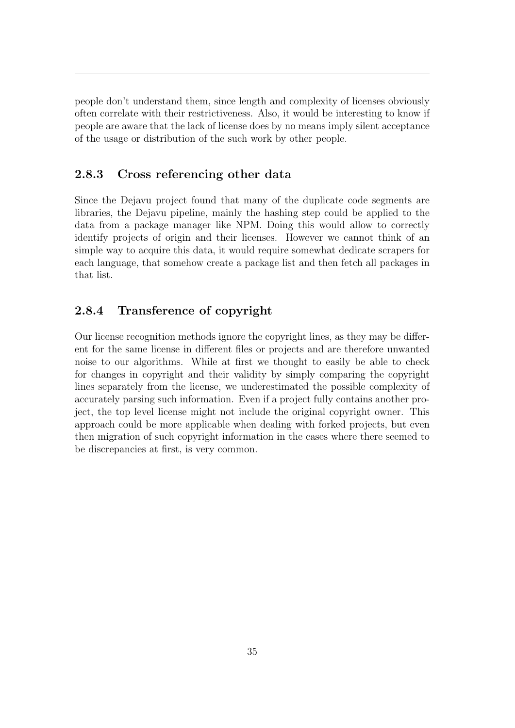people don't understand them, since length and complexity of licenses obviously often correlate with their restrictiveness. Also, it would be interesting to know if people are aware that the lack of license does by no means imply silent acceptance of the usage or distribution of the such work by other people.

#### <span id="page-39-0"></span>2.8.3 Cross referencing other data

Since the Dejavu project found that many of the duplicate code segments are libraries, the Dejavu pipeline, mainly the hashing step could be applied to the data from a package manager like NPM. Doing this would allow to correctly identify projects of origin and their licenses. However we cannot think of an simple way to acquire this data, it would require somewhat dedicate scrapers for each language, that somehow create a package list and then fetch all packages in that list.

### <span id="page-39-1"></span>2.8.4 Transference of copyright

<span id="page-39-2"></span>Our license recognition methods ignore the copyright lines, as they may be different for the same license in different files or projects and are therefore unwanted noise to our algorithms. While at first we thought to easily be able to check for changes in copyright and their validity by simply comparing the copyright lines separately from the license, we underestimated the possible complexity of accurately parsing such information. Even if a project fully contains another project, the top level license might not include the original copyright owner. This approach could be more applicable when dealing with forked projects, but even then migration of such copyright information in the cases where there seemed to be discrepancies at first, is very common.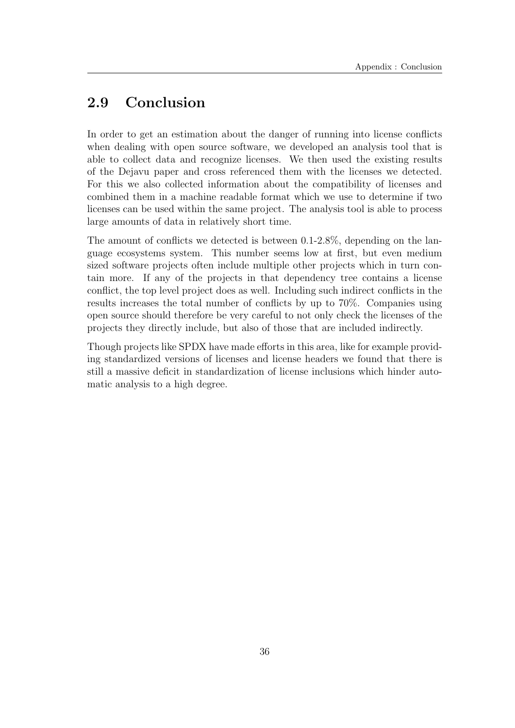# 2.9 Conclusion

In order to get an estimation about the danger of running into license conflicts when dealing with open source software, we developed an analysis tool that is able to collect data and recognize licenses. We then used the existing results of the Dejavu paper and cross referenced them with the licenses we detected. For this we also collected information about the compatibility of licenses and combined them in a machine readable format which we use to determine if two licenses can be used within the same project. The analysis tool is able to process large amounts of data in relatively short time.

The amount of conflicts we detected is between 0.1-2.8%, depending on the language ecosystems system. This number seems low at first, but even medium sized software projects often include multiple other projects which in turn contain more. If any of the projects in that dependency tree contains a license conflict, the top level project does as well. Including such indirect conflicts in the results increases the total number of conflicts by up to 70%. Companies using open source should therefore be very careful to not only check the licenses of the projects they directly include, but also of those that are included indirectly.

Though projects like SPDX have made efforts in this area, like for example providing standardized versions of licenses and license headers we found that there is still a massive deficit in standardization of license inclusions which hinder automatic analysis to a high degree.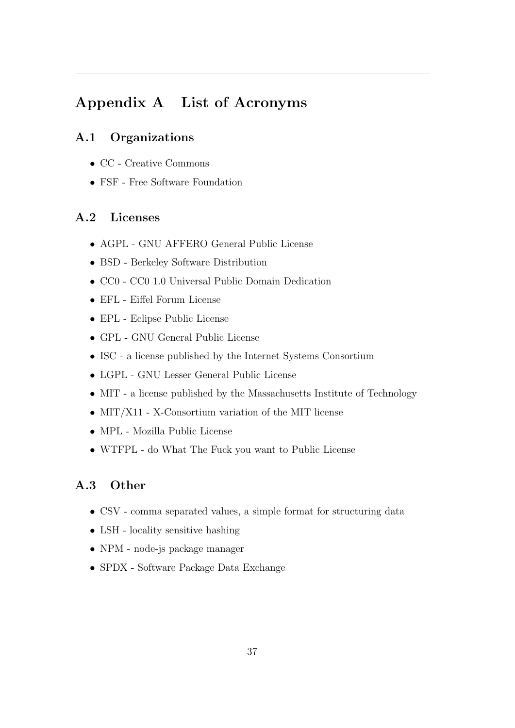# <span id="page-41-0"></span>Appendix A List of Acronyms

### <span id="page-41-1"></span>A.1 Organizations

- CC Creative Commons
- <span id="page-41-2"></span>• FSF - Free Software Foundation

### A.2 Licenses

- AGPL GNU AFFERO General Public License
- BSD Berkeley Software Distribution
- CC0 CC0 1.0 Universal Public Domain Dedication
- EFL Eiffel Forum License
- EPL Eclipse Public License
- GPL GNU General Public License
- ISC a license published by the Internet Systems Consortium
- LGPL GNU Lesser General Public License
- MIT a license published by the Massachusetts Institute of Technology
- MIT/X11 X-Consortium variation of the MIT license
- MPL Mozilla Public License
- <span id="page-41-3"></span>• WTFPL - do What The Fuck you want to Public License

### A.3 Other

- CSV comma separated values, a simple format for structuring data
- LSH locality sensitive hashing
- NPM node-js package manager
- SPDX Software Package Data Exchange